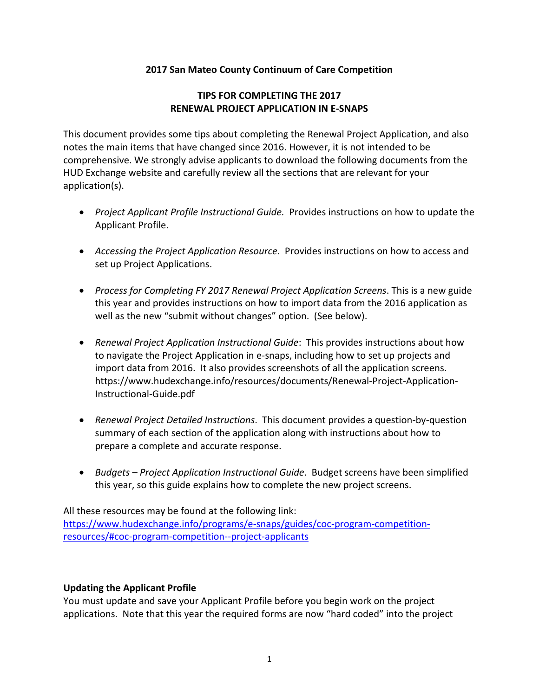### **2017 San Mateo County Continuum of Care Competition**

### **TIPS FOR COMPLETING THE 2017 RENEWAL PROJECT APPLICATION IN E‐SNAPS**

This document provides some tips about completing the Renewal Project Application, and also notes the main items that have changed since 2016. However, it is not intended to be comprehensive. We strongly advise applicants to download the following documents from the HUD Exchange website and carefully review all the sections that are relevant for your application(s).

- *Project Applicant Profile Instructional Guide.* Provides instructions on how to update the Applicant Profile.
- *Accessing the Project Application Resource*. Provides instructions on how to access and set up Project Applications.
- *Process for Completing FY 2017 Renewal Project Application Screens*. This is a new guide this year and provides instructions on how to import data from the 2016 application as well as the new "submit without changes" option. (See below).
- *Renewal Project Application Instructional Guide*: This provides instructions about how to navigate the Project Application in e‐snaps, including how to set up projects and import data from 2016. It also provides screenshots of all the application screens. https://www.hudexchange.info/resources/documents/Renewal‐Project‐Application‐ Instructional‐Guide.pdf
- *Renewal Project Detailed Instructions*. This document provides a question‐by‐question summary of each section of the application along with instructions about how to prepare a complete and accurate response.
- *Budgets – Project Application Instructional Guide*. Budget screens have been simplified this year, so this guide explains how to complete the new project screens.

All these resources may be found at the following link:

https://www.hudexchange.info/programs/e-snaps/guides/coc-program-competitionresources/#coc‐program‐competition‐‐project‐applicants

### **Updating the Applicant Profile**

You must update and save your Applicant Profile before you begin work on the project applications. Note that this year the required forms are now "hard coded" into the project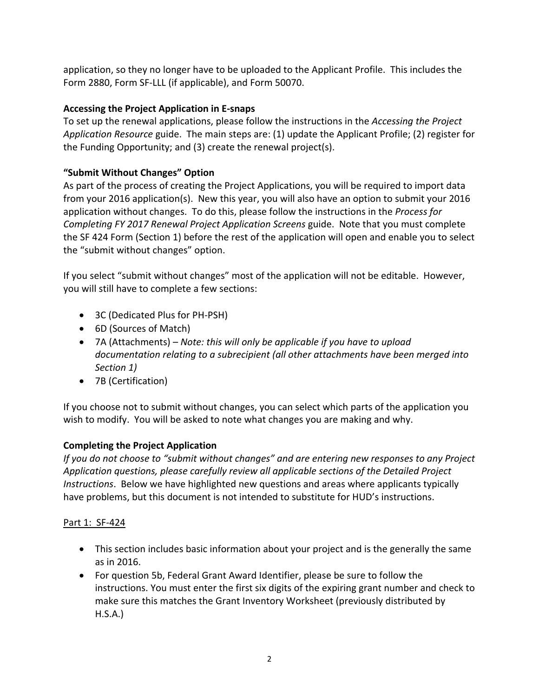application, so they no longer have to be uploaded to the Applicant Profile. This includes the Form 2880, Form SF‐LLL (if applicable), and Form 50070.

## **Accessing the Project Application in E‐snaps**

To set up the renewal applications, please follow the instructions in the *Accessing the Project Application Resource* guide. The main steps are: (1) update the Applicant Profile; (2) register for the Funding Opportunity; and (3) create the renewal project(s).

## **"Submit Without Changes" Option**

As part of the process of creating the Project Applications, you will be required to import data from your 2016 application(s). New this year, you will also have an option to submit your 2016 application without changes. To do this, please follow the instructions in the *Process for Completing FY 2017 Renewal Project Application Screens* guide. Note that you must complete the SF 424 Form (Section 1) before the rest of the application will open and enable you to select the "submit without changes" option.

If you select "submit without changes" most of the application will not be editable. However, you will still have to complete a few sections:

- 3C (Dedicated Plus for PH-PSH)
- 6D (Sources of Match)
- 7A (Attachments) *Note: this will only be applicable if you have to upload documentation relating to a subrecipient (all other attachments have been merged into Section 1)*
- 7B (Certification)

If you choose not to submit without changes, you can select which parts of the application you wish to modify. You will be asked to note what changes you are making and why.

# **Completing the Project Application**

*If you do not choose to "submit without changes" and are entering new responses to any Project Application questions, please carefully review all applicable sections of the Detailed Project Instructions*. Below we have highlighted new questions and areas where applicants typically have problems, but this document is not intended to substitute for HUD's instructions.

### Part 1: SF‐424

- This section includes basic information about your project and is the generally the same as in 2016.
- For question 5b, Federal Grant Award Identifier, please be sure to follow the instructions. You must enter the first six digits of the expiring grant number and check to make sure this matches the Grant Inventory Worksheet (previously distributed by H.S.A.)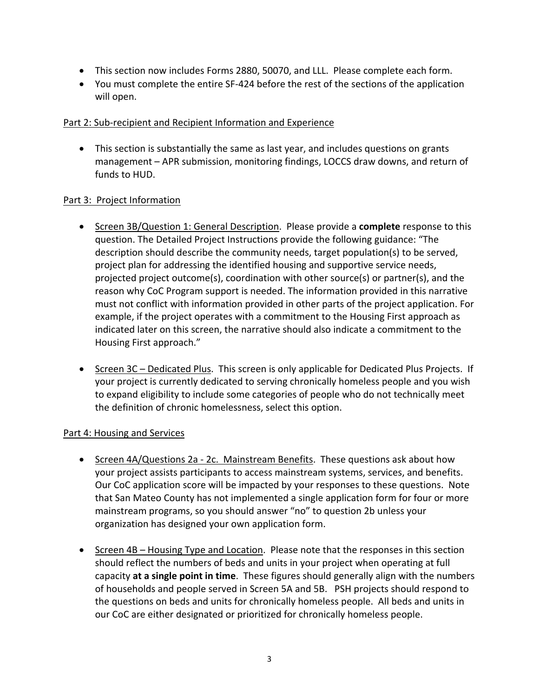- This section now includes Forms 2880, 50070, and LLL. Please complete each form.
- You must complete the entire SF-424 before the rest of the sections of the application will open.

### Part 2: Sub‐recipient and Recipient Information and Experience

 This section is substantially the same as last year, and includes questions on grants management – APR submission, monitoring findings, LOCCS draw downs, and return of funds to HUD.

### Part 3: Project Information

- Screen 3B/Question 1: General Description. Please provide a **complete** response to this question. The Detailed Project Instructions provide the following guidance: "The description should describe the community needs, target population(s) to be served, project plan for addressing the identified housing and supportive service needs, projected project outcome(s), coordination with other source(s) or partner(s), and the reason why CoC Program support is needed. The information provided in this narrative must not conflict with information provided in other parts of the project application. For example, if the project operates with a commitment to the Housing First approach as indicated later on this screen, the narrative should also indicate a commitment to the Housing First approach."
- Screen 3C Dedicated Plus. This screen is only applicable for Dedicated Plus Projects. If your project is currently dedicated to serving chronically homeless people and you wish to expand eligibility to include some categories of people who do not technically meet the definition of chronic homelessness, select this option.

### Part 4: Housing and Services

- Screen 4A/Questions 2a 2c. Mainstream Benefits. These questions ask about how your project assists participants to access mainstream systems, services, and benefits. Our CoC application score will be impacted by your responses to these questions. Note that San Mateo County has not implemented a single application form for four or more mainstream programs, so you should answer "no" to question 2b unless your organization has designed your own application form.
- Screen 4B Housing Type and Location. Please note that the responses in this section should reflect the numbers of beds and units in your project when operating at full capacity **at a single point in time**. These figures should generally align with the numbers of households and people served in Screen 5A and 5B. PSH projects should respond to the questions on beds and units for chronically homeless people. All beds and units in our CoC are either designated or prioritized for chronically homeless people.